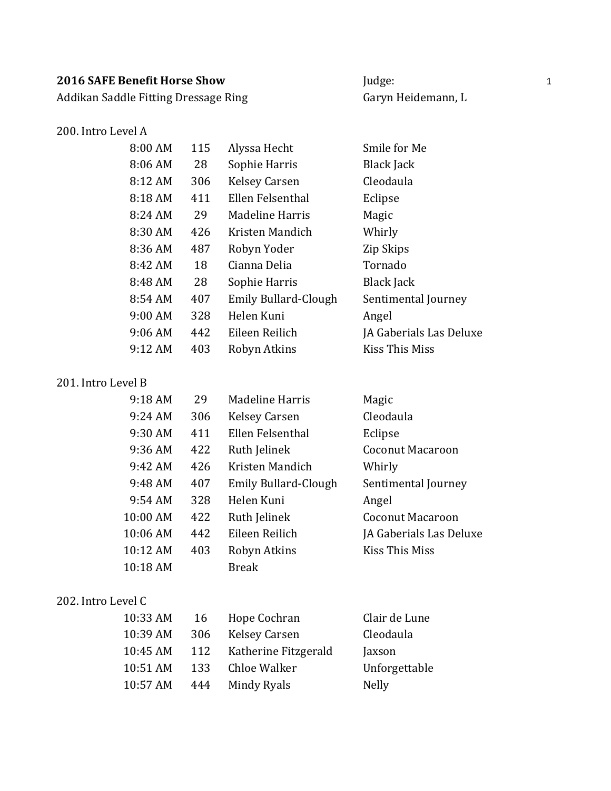Addikan Saddle Fitting Dressage Ring Garyn Heidemann, L

#### 200. Intro Level A

| 8:00 AM           | 115 | Alyssa Hecht                | Smile for Me            |
|-------------------|-----|-----------------------------|-------------------------|
| 8:06 AM           | 28  | Sophie Harris               | <b>Black Jack</b>       |
| 8:12 AM           | 306 | <b>Kelsey Carsen</b>        | Cleodaula               |
| 8:18 AM           | 411 | Ellen Felsenthal            | Eclipse                 |
| 8:24 AM           | 29  | Madeline Harris             | Magic                   |
| 8:30 AM           | 426 | Kristen Mandich             | Whirly                  |
| 8:36 AM           | 487 | Robyn Yoder                 | Zip Skips               |
| 8:42 AM           | 18  | Cianna Delia                | Tornado                 |
| 8:48 AM           | 28  | Sophie Harris               | Black Jack              |
| 8:54 AM           | 407 | <b>Emily Bullard-Clough</b> | Sentimental Journey     |
| 9:00 AM           | 328 | Helen Kuni                  | Angel                   |
| 9:06AM            | 442 | Eileen Reilich              | JA Gaberials Las Deluxe |
| $9:12 \text{ AM}$ | 403 | Robyn Atkins                | Kiss This Miss          |

#### 201. Intro Level B

| 9:18 AM           | 29  | Madeline Harris      | Magic                   |
|-------------------|-----|----------------------|-------------------------|
| 9:24 AM           | 306 | <b>Kelsey Carsen</b> | Cleodaula               |
| 9:30 AM           | 411 | Ellen Felsenthal     | Eclipse                 |
| 9:36 AM           | 422 | Ruth Jelinek         | <b>Coconut Macaroon</b> |
| 9:42 AM           | 426 | Kristen Mandich      | Whirly                  |
| $9:48 \text{ AM}$ | 407 | Emily Bullard-Clough | Sentimental Journey     |
| 9:54 AM           | 328 | Helen Kuni           | Angel                   |
| 10:00 AM          | 422 | Ruth Jelinek         | <b>Coconut Macaroon</b> |
| 10:06 AM          | 442 | Eileen Reilich       | JA Gaberials Las Deluxe |
| 10:12 AM          | 403 | Robyn Atkins         | Kiss This Miss          |
| 10:18 AM          |     | <b>Break</b>         |                         |

#### 202. Intro Level C

| 10:33 AM | 16  | Hope Cochran         | Clair de Lune |
|----------|-----|----------------------|---------------|
| 10:39 AM | 306 | <b>Kelsey Carsen</b> | Cleodaula     |
| 10:45 AM | 112 | Katherine Fitzgerald | Jaxson        |
| 10:51 AM | 133 | Chloe Walker         | Unforgettable |
| 10:57 AM | 444 | Mindy Ryals          | <b>Nelly</b>  |
|          |     |                      |               |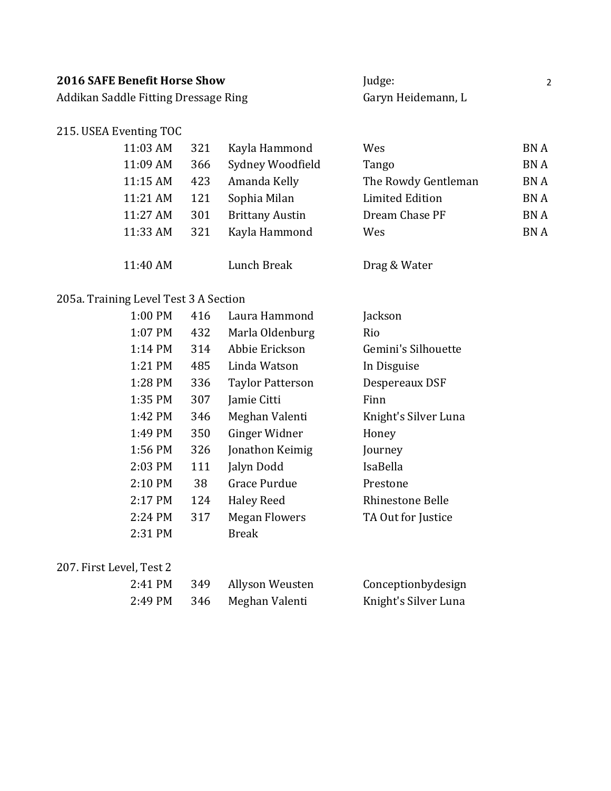| <b>2016 SAFE Benefit Horse Show</b>  | Judge:             |  |
|--------------------------------------|--------------------|--|
| Addikan Saddle Fitting Dressage Ring | Garyn Heidemann, L |  |

#### 215. USEA Eventing TOC

| 11:03 AM | 321 | Kayla Hammond          | Wes                    | <b>BNA</b> |
|----------|-----|------------------------|------------------------|------------|
| 11:09 AM | 366 | Sydney Woodfield       | Tango                  | <b>BNA</b> |
| 11:15 AM | 423 | Amanda Kelly           | The Rowdy Gentleman    | <b>BNA</b> |
| 11:21 AM | 121 | Sophia Milan           | <b>Limited Edition</b> | <b>BNA</b> |
| 11:27 AM | 301 | <b>Brittany Austin</b> | Dream Chase PF         | <b>BNA</b> |
| 11:33 AM | 321 | Kayla Hammond          | Wes                    | <b>BNA</b> |
|          |     |                        |                        |            |
| 11:40 AM |     | Lunch Break            | Drag & Water           |            |

# 205a. Training Level Test 3 A Section

| 1:00 PM | 416 | Laura Hammond           | Jackson              |
|---------|-----|-------------------------|----------------------|
| 1:07 PM | 432 | Marla Oldenburg         | Rio                  |
| 1:14 PM | 314 | Abbie Erickson          | Gemini's Silhouette  |
| 1:21 PM | 485 | Linda Watson            | In Disguise          |
| 1:28 PM | 336 | <b>Taylor Patterson</b> | Despereaux DSF       |
| 1:35 PM | 307 | Jamie Citti             | Finn                 |
| 1:42 PM | 346 | Meghan Valenti          | Knight's Silver Luna |
| 1:49 PM | 350 | Ginger Widner           | Honey                |
| 1:56 PM | 326 | Jonathon Keimig         | Journey              |
| 2:03 PM | 111 | Jalyn Dodd              | IsaBella             |
| 2:10 PM | 38  | <b>Grace Purdue</b>     | Prestone             |
| 2:17 PM | 124 | <b>Haley Reed</b>       | Rhinestone Belle     |
| 2:24 PM | 317 | <b>Megan Flowers</b>    | TA Out for Justice   |
| 2:31 PM |     | <b>Break</b>            |                      |

#### 207. First Level, Test 2

| 2:41 PM | 349 Allyson Weusten | Conceptionbydesign   |
|---------|---------------------|----------------------|
| 2:49 PM | 346 Meghan Valenti  | Knight's Silver Luna |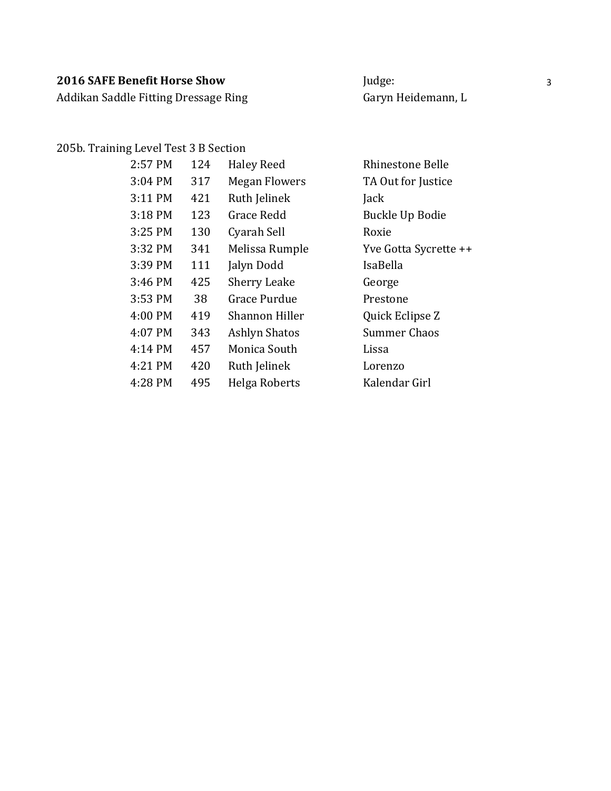Addikan Saddle Fitting Dressage Ring Garyn Heidemann, L

#### 205b. Training Level Test 3 B Section

| 2:57 PM           | 124 | <b>Haley Reed</b>    | Rhinestone Belle      |
|-------------------|-----|----------------------|-----------------------|
| 3:04 PM           | 317 | <b>Megan Flowers</b> | TA Out for Justice    |
| 3:11 PM           | 421 | Ruth Jelinek         | Jack                  |
| 3:18 PM           | 123 | <b>Grace Redd</b>    | Buckle Up Bodie       |
| 3:25 PM           | 130 | Cyarah Sell          | Roxie                 |
| 3:32 PM           | 341 | Melissa Rumple       | Yve Gotta Sycrette ++ |
| 3:39 PM           | 111 | Jalyn Dodd           | IsaBella              |
| 3:46 PM           | 425 | <b>Sherry Leake</b>  | George                |
| 3:53 PM           | 38  | Grace Purdue         | Prestone              |
| 4:00 PM           | 419 | Shannon Hiller       | Quick Eclipse Z       |
| 4:07 PM           | 343 | <b>Ashlyn Shatos</b> | Summer Chaos          |
| $4:14 \text{ PM}$ | 457 | Monica South         | Lissa                 |
| 4:21 PM           | 420 | Ruth Jelinek         | Lorenzo               |
| 4:28 PM           | 495 | Helga Roberts        | Kalendar Girl         |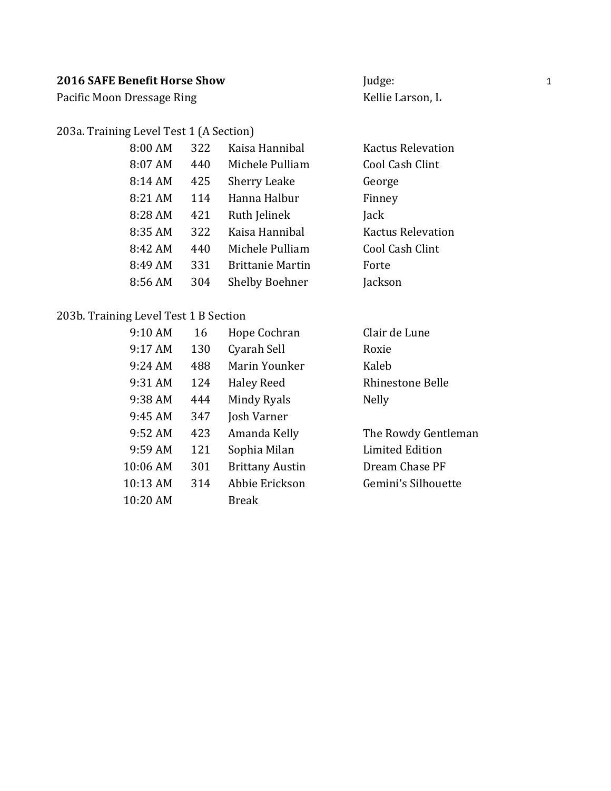Pacific Moon Dressage Ring Material Communication and Kellie Larson, L

#### 203a. Training Level Test 1 (A Section)

| 8:00 AM | 322 | Kaisa Hannibal          | Kactus Relevat  |
|---------|-----|-------------------------|-----------------|
| 8:07 AM | 440 | Michele Pulliam         | Cool Cash Clint |
| 8:14 AM | 425 | <b>Sherry Leake</b>     | George          |
| 8:21 AM | 114 | Hanna Halbur            | Finney          |
| 8:28 AM | 421 | Ruth Jelinek            | Jack            |
| 8:35 AM | 322 | Kaisa Hannibal          | Kactus Relevat  |
| 8:42 AM | 440 | Michele Pulliam         | Cool Cash Clint |
| 8:49 AM | 331 | <b>Brittanie Martin</b> | Forte           |
| 8:56 AM | 304 | <b>Shelby Boehner</b>   | Jackson         |

# 203b. Training Level Test 1 B Section

| 9:10 AM    | 16  | Hope Cochran           | Clair de Lune           |
|------------|-----|------------------------|-------------------------|
| 9:17 AM    | 130 | Cyarah Sell            | Roxie                   |
| $9:24$ AM  | 488 | Marin Younker          | Kaleb                   |
| 9:31 AM    | 124 | <b>Haley Reed</b>      | <b>Rhinestone Belle</b> |
| 9:38 AM    | 444 | Mindy Ryals            | <b>Nelly</b>            |
| 9:45 AM    | 347 | Josh Varner            |                         |
| 9:52 AM    | 423 | Amanda Kelly           | The Rowdy Gentleman     |
| $9:59$ AM  | 121 | Sophia Milan           | Limited Edition         |
| 10:06 AM   | 301 | <b>Brittany Austin</b> | Dream Chase PF          |
| 10:13 AM   | 314 | Abbie Erickson         | Gemini's Silhouette     |
| $10:20$ AM |     | <b>Break</b>           |                         |

levation levation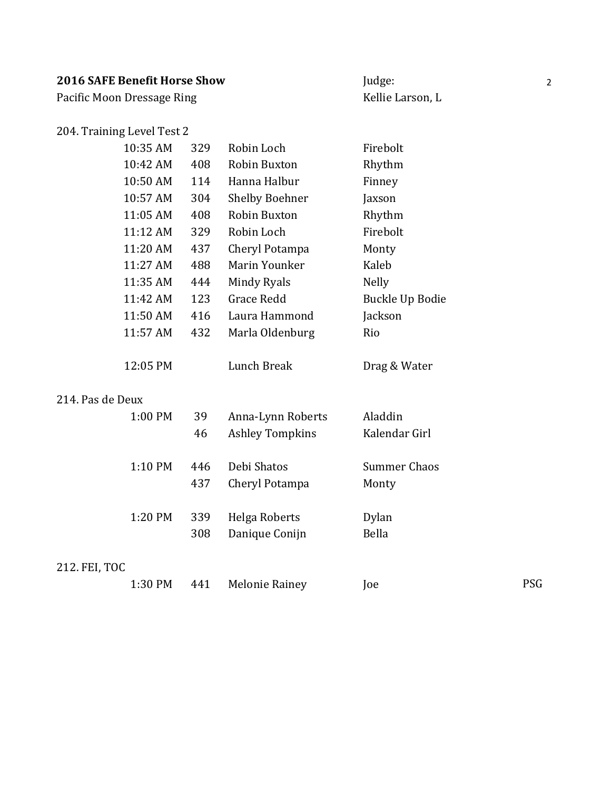Pacific Moon Dressage Ring Material Communication and Kellie Larson, L

#### 204. Training Level Test 2

| 10:35 AM           | 329 | Robin Loch            | Firebolt        |
|--------------------|-----|-----------------------|-----------------|
| 10:42 AM           | 408 | Robin Buxton          | Rhythm          |
| 10:50 AM           | 114 | Hanna Halbur          | Finney          |
| 10:57 AM           | 304 | <b>Shelby Boehner</b> | Jaxson          |
| 11:05 AM           | 408 | Robin Buxton          | Rhythm          |
| $11:12 \text{ AM}$ | 329 | Robin Loch            | Firebolt        |
| 11:20 AM           | 437 | Cheryl Potampa        | Monty           |
| 11:27 AM           | 488 | Marin Younker         | Kaleb           |
| 11:35 AM           | 444 | Mindy Ryals           | <b>Nelly</b>    |
| 11:42 AM           | 123 | Grace Redd            | Buckle Up Bodie |
| 11:50 AM           | 416 | Laura Hammond         | Jackson         |
| 11:57 AM           | 432 | Marla Oldenburg       | Rio             |
|                    |     |                       |                 |

#### 214. Pas de Deux

| 1:00 PM | 39  | Anna-Lynn Roberts      | Aladdin       |
|---------|-----|------------------------|---------------|
|         | 46  | <b>Ashley Tompkins</b> | Kalendar Girl |
| 1:10 PM | 446 | Debi Shatos            | Summer Chaos  |
|         | 437 | Cheryl Potampa         | Monty         |
| 1:20 PM | 339 | Helga Roberts          | Dylan         |
|         | 308 | Danique Conijn         | Bella         |

12:05 PM Lunch Break Drag & Water

#### 212. FEI, TOC

|  |  | 1:30 PM 441 Melonie Rainey | Joe |     |
|--|--|----------------------------|-----|-----|
|  |  |                            |     | PSG |